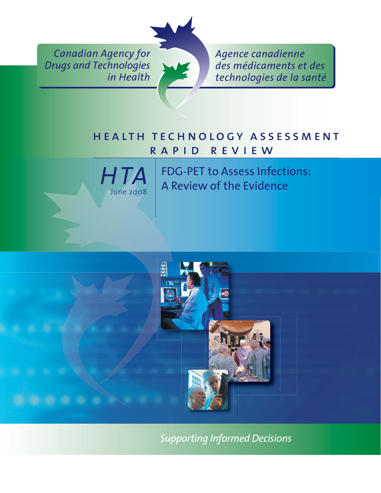*Canadian Agency for Drugs and Technologies in Health*



*Agence canadienne des médicaments et des technologies de la santé*

## health technology assessment rapid review



FDG-PET to Assess Infections: A Review of the Evidence



*Supporting Informed Decisions*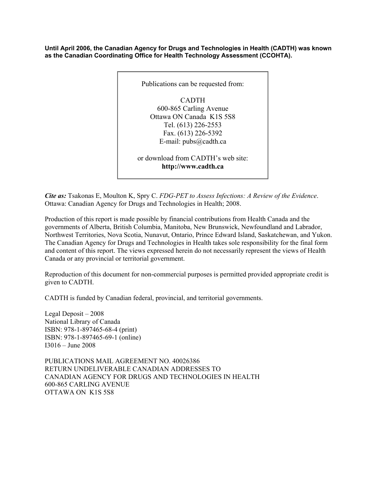**Until April 2006, the Canadian Agency for Drugs and Technologies in Health (CADTH) was known as the Canadian Coordinating Office for Health Technology Assessment (CCOHTA).** 



*Cite as:* Tsakonas E, Moulton K, Spry C. *FDG-PET to Assess Infections: A Review of the Evidence*. Ottawa: Canadian Agency for Drugs and Technologies in Health; 2008.

Production of this report is made possible by financial contributions from Health Canada and the governments of Alberta, British Columbia, Manitoba, New Brunswick, Newfoundland and Labrador, Northwest Territories, Nova Scotia, Nunavut, Ontario, Prince Edward Island, Saskatchewan, and Yukon. The Canadian Agency for Drugs and Technologies in Health takes sole responsibility for the final form and content of this report. The views expressed herein do not necessarily represent the views of Health Canada or any provincial or territorial government.

Reproduction of this document for non-commercial purposes is permitted provided appropriate credit is given to CADTH.

CADTH is funded by Canadian federal, provincial, and territorial governments.

Legal Deposit – 2008 National Library of Canada ISBN: 978-1-897465-68-4 (print) ISBN: 978-1-897465-69-1 (online) I3016 – June 2008

PUBLICATIONS MAIL AGREEMENT NO. 40026386 RETURN UNDELIVERABLE CANADIAN ADDRESSES TO CANADIAN AGENCY FOR DRUGS AND TECHNOLOGIES IN HEALTH 600-865 CARLING AVENUE OTTAWA ON K1S 5S8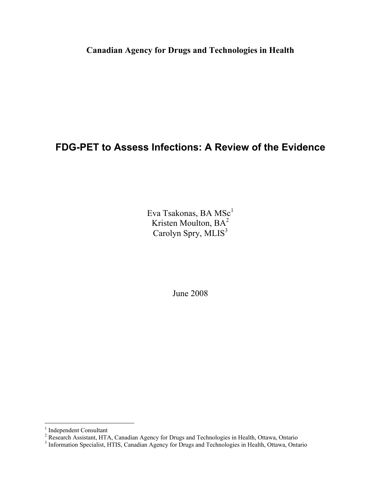**Canadian Agency for Drugs and Technologies in Health** 

### **FDG-PET to Assess Infections: A Review of the Evidence**

Eva Tsakonas, BA MSc $^1$ Kristen Moulton, BA<sup>2</sup> Carolyn Spry, MLIS<sup>3</sup>

June 2008

<sup>&</sup>lt;sup>1</sup> Independent Consultant<br><sup>2</sup> Research Assistant, HTA, Canadian Agency for Drugs and Technologies in Health, Ottawa, Ontario<br><sup>3</sup> Information Specialist, HTIS, Canadian Agency for Drugs and Technologies in Health, Ottawa,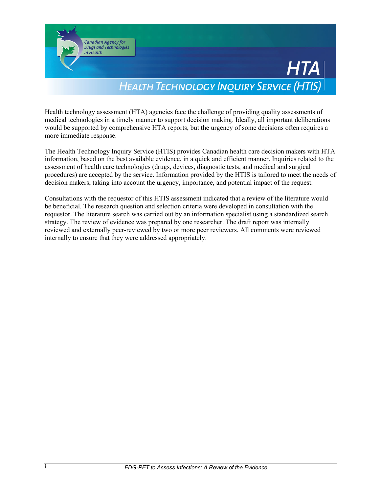

Health technology assessment (HTA) agencies face the challenge of providing quality assessments of medical technologies in a timely manner to support decision making. Ideally, all important deliberations would be supported by comprehensive HTA reports, but the urgency of some decisions often requires a more immediate response.

The Health Technology Inquiry Service (HTIS) provides Canadian health care decision makers with HTA information, based on the best available evidence, in a quick and efficient manner. Inquiries related to the assessment of health care technologies (drugs, devices, diagnostic tests, and medical and surgical procedures) are accepted by the service. Information provided by the HTIS is tailored to meet the needs of decision makers, taking into account the urgency, importance, and potential impact of the request.

Consultations with the requestor of this HTIS assessment indicated that a review of the literature would be beneficial. The research question and selection criteria were developed in consultation with the requestor. The literature search was carried out by an information specialist using a standardized search strategy. The review of evidence was prepared by one researcher. The draft report was internally reviewed and externally peer-reviewed by two or more peer reviewers. All comments were reviewed internally to ensure that they were addressed appropriately.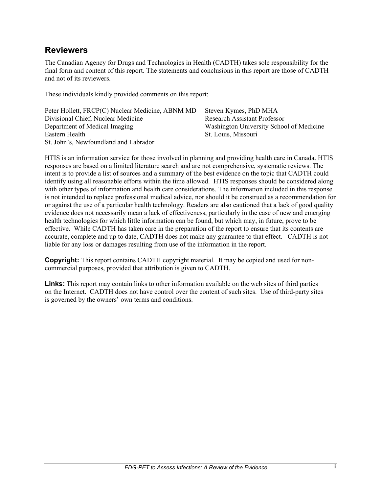### **Reviewers**

The Canadian Agency for Drugs and Technologies in Health (CADTH) takes sole responsibility for the final form and content of this report. The statements and conclusions in this report are those of CADTH and not of its reviewers.

These individuals kindly provided comments on this report:

| Peter Hollett, FRCP(C) Nuclear Medicine, ABNM MD | Steven Kymes, PhD MHA                    |
|--------------------------------------------------|------------------------------------------|
| Divisional Chief, Nuclear Medicine               | <b>Research Assistant Professor</b>      |
| Department of Medical Imaging                    | Washington University School of Medicine |
| Eastern Health                                   | St. Louis, Missouri                      |
| St. John's, Newfoundland and Labrador            |                                          |

HTIS is an information service for those involved in planning and providing health care in Canada. HTIS responses are based on a limited literature search and are not comprehensive, systematic reviews. The intent is to provide a list of sources and a summary of the best evidence on the topic that CADTH could identify using all reasonable efforts within the time allowed. HTIS responses should be considered along with other types of information and health care considerations. The information included in this response is not intended to replace professional medical advice, nor should it be construed as a recommendation for or against the use of a particular health technology. Readers are also cautioned that a lack of good quality evidence does not necessarily mean a lack of effectiveness, particularly in the case of new and emerging health technologies for which little information can be found, but which may, in future, prove to be effective.While CADTH has taken care in the preparation of the report to ensure that its contents are accurate, complete and up to date, CADTH does not make any guarantee to that effect. CADTH is not liable for any loss or damages resulting from use of the information in the report.

**Copyright:** This report contains CADTH copyright material. It may be copied and used for noncommercial purposes, provided that attribution is given to CADTH.

**Links:** This report may contain links to other information available on the web sites of third parties on the Internet. CADTH does not have control over the content of such sites. Use of third-party sites is governed by the owners' own terms and conditions.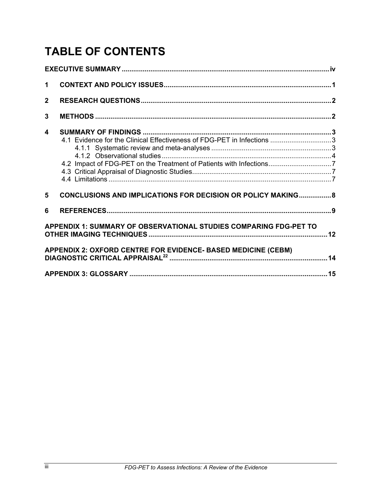# **TABLE OF CONTENTS**

| $\mathbf 1$    |                                                                                                                                               |  |
|----------------|-----------------------------------------------------------------------------------------------------------------------------------------------|--|
| 2 <sup>1</sup> |                                                                                                                                               |  |
| $\mathbf{3}$   |                                                                                                                                               |  |
| 4              | 4.1 Evidence for the Clinical Effectiveness of FDG-PET in Infections 3<br>4.2 Impact of FDG-PET on the Treatment of Patients with Infections7 |  |
| 5              | <b>CONCLUSIONS AND IMPLICATIONS FOR DECISION OR POLICY MAKING 8</b>                                                                           |  |
| 6              |                                                                                                                                               |  |
|                | APPENDIX 1: SUMMARY OF OBSERVATIONAL STUDIES COMPARING FDG-PET TO                                                                             |  |
|                | APPENDIX 2: OXFORD CENTRE FOR EVIDENCE- BASED MEDICINE (CEBM)                                                                                 |  |
|                |                                                                                                                                               |  |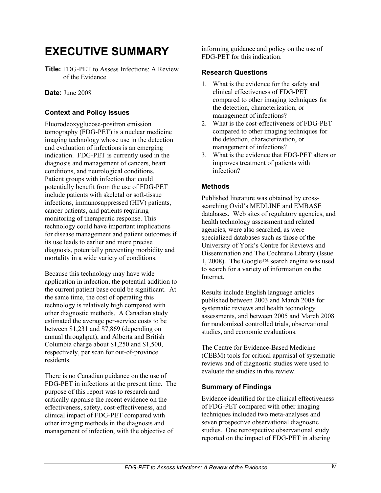## **EXECUTIVE SUMMARY**

**Title:** FDG-PET to Assess Infections: A Review of the Evidence

**Date:** June 2008

#### **Context and Policy Issues**

Fluorodeoxyglucose-positron emission tomography (FDG-PET) is a nuclear medicine imaging technology whose use in the detection and evaluation of infections is an emerging indication. FDG-PET is currently used in the diagnosis and management of cancers, heart conditions, and neurological conditions. Patient groups with infection that could potentially benefit from the use of FDG-PET include patients with skeletal or soft-tissue infections, immunosuppressed (HIV) patients, cancer patients, and patients requiring monitoring of therapeutic response. This technology could have important implications for disease management and patient outcomes if its use leads to earlier and more precise diagnosis, potentially preventing morbidity and mortality in a wide variety of conditions.

Because this technology may have wide application in infection, the potential addition to the current patient base could be significant. At the same time, the cost of operating this technology is relatively high compared with other diagnostic methods. A Canadian study estimated the average per-service costs to be between \$1,231 and \$7,869 (depending on annual throughput), and Alberta and British Columbia charge about \$1,250 and \$1,500, respectively, per scan for out-of-province residents.

There is no Canadian guidance on the use of FDG-PET in infections at the present time. The purpose of this report was to research and critically appraise the recent evidence on the effectiveness, safety, cost-effectiveness, and clinical impact of FDG-PET compared with other imaging methods in the diagnosis and management of infection, with the objective of

informing guidance and policy on the use of FDG-PET for this indication.

#### **Research Questions**

- 1. What is the evidence for the safety and clinical effectiveness of FDG-PET compared to other imaging techniques for the detection, characterization, or management of infections?
- 2. What is the cost-effectiveness of FDG-PET compared to other imaging techniques for the detection, characterization, or management of infections?
- 3. What is the evidence that FDG-PET alters or improves treatment of patients with infection?

#### **Methods**

Published literature was obtained by crosssearching Ovid's MEDLINE and EMBASE databases. Web sites of regulatory agencies, and health technology assessment and related agencies, were also searched, as were specialized databases such as those of the University of York's Centre for Reviews and Dissemination and The Cochrane Library (Issue 1, 2008). The Google™ search engine was used to search for a variety of information on the Internet.

Results include English language articles published between 2003 and March 2008 for systematic reviews and health technology assessments, and between 2005 and March 2008 for randomized controlled trials, observational studies, and economic evaluations.

The Centre for Evidence-Based Medicine (CEBM) tools for critical appraisal of systematic reviews and of diagnostic studies were used to evaluate the studies in this review.

#### **Summary of Findings**

Evidence identified for the clinical effectiveness of FDG-PET compared with other imaging techniques included two meta-analyses and seven prospective observational diagnostic studies. One retrospective observational study reported on the impact of FDG-PET in altering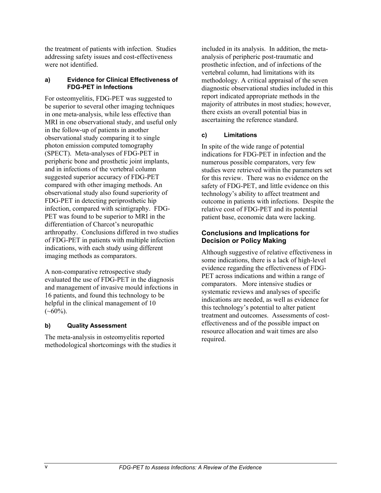the treatment of patients with infection. Studies addressing safety issues and cost-effectiveness were not identified.

#### **a) Evidence for Clinical Effectiveness of FDG-PET in Infections**

For osteomyelitis, FDG-PET was suggested to be superior to several other imaging techniques in one meta-analysis, while less effective than MRI in one observational study, and useful only in the follow-up of patients in another observational study comparing it to single photon emission computed tomography (SPECT). Meta-analyses of FDG-PET in peripheric bone and prosthetic joint implants, and in infections of the vertebral column suggested superior accuracy of FDG-PET compared with other imaging methods. An observational study also found superiority of FDG-PET in detecting periprosthetic hip infection, compared with scintigraphy. FDG-PET was found to be superior to MRI in the differentiation of Charcot's neuropathic arthropathy. Conclusions differed in two studies of FDG-PET in patients with multiple infection indications, with each study using different imaging methods as comparators.

A non-comparative retrospective study evaluated the use of FDG-PET in the diagnosis and management of invasive mould infections in 16 patients, and found this technology to be helpful in the clinical management of 10  $(\sim 60\%)$ .

#### **b) Quality Assessment**

The meta-analysis in osteomyelitis reported methodological shortcomings with the studies it

included in its analysis. In addition, the metaanalysis of peripheric post-traumatic and prosthetic infection, and of infections of the vertebral column, had limitations with its methodology. A critical appraisal of the seven diagnostic observational studies included in this report indicated appropriate methods in the majority of attributes in most studies; however, there exists an overall potential bias in ascertaining the reference standard.

#### **c) Limitations**

In spite of the wide range of potential indications for FDG-PET in infection and the numerous possible comparators, very few studies were retrieved within the parameters set for this review. There was no evidence on the safety of FDG-PET, and little evidence on this technology's ability to affect treatment and outcome in patients with infections. Despite the relative cost of FDG-PET and its potential patient base, economic data were lacking.

#### **Conclusions and Implications for Decision or Policy Making**

Although suggestive of relative effectiveness in some indications, there is a lack of high-level evidence regarding the effectiveness of FDG-PET across indications and within a range of comparators. More intensive studies or systematic reviews and analyses of specific indications are needed, as well as evidence for this technology's potential to alter patient treatment and outcomes. Assessments of costeffectiveness and of the possible impact on resource allocation and wait times are also required.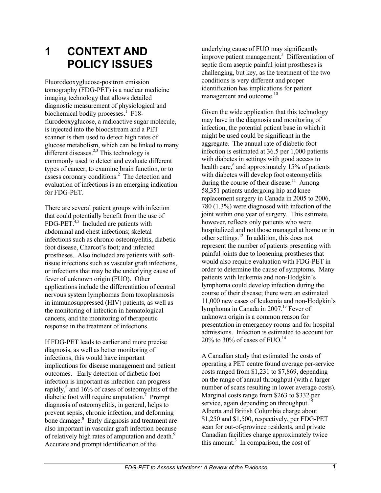# **1 CONTEXT AND POLICY ISSUES**

Fluorodeoxyglucose-positron emission tomography (FDG-PET) is a nuclear medicine imaging technology that allows detailed diagnostic measurement of physiological and biochemical bodily processes.<sup>1</sup> F18flurodeoxyglucose, a radioactive sugar molecule, is injected into the bloodstream and a PET scanner is then used to detect high rates of glucose metabolism, which can be linked to many different diseases.<sup>2,3</sup> This technology is commonly used to detect and evaluate different types of cancer, to examine brain function, or to assess coronary conditions.<sup>2</sup> The detection and evaluation of infections is an emerging indication for FDG-PET.

There are several patient groups with infection that could potentially benefit from the use of  $FDG-PET<sup>4,5</sup>$  Included are patients with abdominal and chest infections; skeletal infections such as chronic osteomyelitis, diabetic foot disease, Charcot's foot; and infected prostheses. Also included are patients with softtissue infections such as vascular graft infections, or infections that may be the underlying cause of fever of unknown origin (FUO). Other applications include the differentiation of central nervous system lymphomas from toxoplasmosis in immunosuppressed (HIV) patients, as well as the monitoring of infection in hematological cancers, and the monitoring of therapeutic response in the treatment of infections.

If FDG-PET leads to earlier and more precise diagnosis, as well as better monitoring of infections, this would have important implications for disease management and patient outcomes. Early detection of diabetic foot infection is important as infection can progress rapidly, $6$  and  $16\%$  of cases of osteomyelitis of the diabetic foot will require amputation.<sup>7</sup> Prompt diagnosis of osteomyelitis, in general, helps to prevent sepsis, chronic infection, and deforming bone damage.<sup>8</sup> Early diagnosis and treatment are also important in vascular graft infection because of relatively high rates of amputation and death.<sup>9</sup> Accurate and prompt identification of the

underlying cause of FUO may significantly improve patient management.<sup>5</sup> Differentiation of septic from aseptic painful joint prostheses is challenging, but key, as the treatment of the two conditions is very different and proper identification has implications for patient management and outcome.<sup>10</sup>

Given the wide application that this technology may have in the diagnosis and monitoring of infection, the potential patient base in which it might be used could be significant in the aggregate. The annual rate of diabetic foot infection is estimated at 36.5 per 1,000 patients with diabetes in settings with good access to health care,<sup>6</sup> and approximately 15% of patients with diabetes will develop foot osteomyelitis during the course of their disease.<sup>11</sup> Among 58,351 patients undergoing hip and knee replacement surgery in Canada in 2005 to 2006, 780 (1.3%) were diagnosed with infection of the joint within one year of surgery. This estimate, however, reflects only patients who were hospitalized and not those managed at home or in other settings.<sup>12</sup> In addition, this does not represent the number of patients presenting with painful joints due to loosening prostheses that would also require evaluation with FDG-PET in order to determine the cause of symptoms. Many patients with leukemia and non-Hodgkin's lymphoma could develop infection during the course of their disease; there were an estimated 11,000 new cases of leukemia and non-Hodgkin's lymphoma in Canada in 2007.<sup>13</sup> Fever of unknown origin is a common reason for presentation in emergency rooms and for hospital admissions. Infection is estimated to account for 20% to 30% of cases of FUO.<sup>14</sup>

A Canadian study that estimated the costs of operating a PET centre found average per-service costs ranged from \$1,231 to \$7,869, depending on the range of annual throughput (with a larger number of scans resulting in lower average costs). Marginal costs range from \$263 to \$332 per service, again depending on throughput.<sup>15</sup> Alberta and British Columbia charge about \$1,250 and \$1,500, respectively, per FDG-PET scan for out-of-province residents, and private Canadian facilities charge approximately twice this amount. $3$  In comparison, the cost of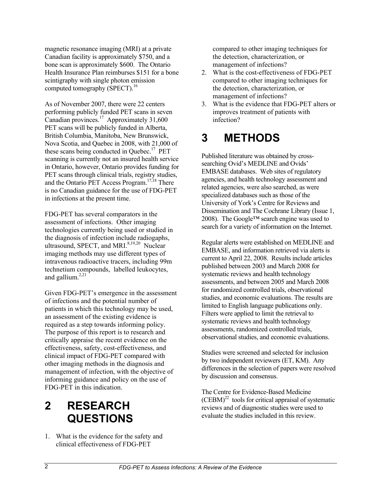magnetic resonance imaging (MRI) at a private Canadian facility is approximately \$750, and a bone scan is approximately \$600. The Ontario Health Insurance Plan reimburses \$151 for a bone scintigraphy with single photon emission computed tomography (SPECT).<sup>16</sup>

As of November 2007, there were 22 centers performing publicly funded PET scans in seven Canadian provinces.<sup>17</sup> Approximately 31,600 PET scans will be publicly funded in Alberta, British Columbia, Manitoba, New Brunswick, Nova Scotia, and Quebec in 2008, with 21,000 of these scans being conducted in Quebec.<sup>17</sup> PET scanning is currently not an insured health service in Ontario, however, Ontario provides funding for PET scans through clinical trials, registry studies, and the Ontario PET Access Program.17,18 There is no Canadian guidance for the use of FDG-PET in infections at the present time.

FDG-PET has several comparators in the assessment of infections. Other imaging technologies currently being used or studied in the diagnosis of infection include radiogaphs, ultrasound, SPECT, and MRI. $8,19,20$  Nuclear imaging methods may use different types of intravenous radioactive tracers, including 99m technetium compounds, labelled leukocytes, and gallium. $^{2,21}$ 

Given FDG-PET's emergence in the assessment of infections and the potential number of patients in which this technology may be used, an assessment of the existing evidence is required as a step towards informing policy. The purpose of this report is to research and critically appraise the recent evidence on the effectiveness, safety, cost-effectiveness, and clinical impact of FDG-PET compared with other imaging methods in the diagnosis and management of infection, with the objective of informing guidance and policy on the use of FDG-PET in this indication.

## **2 RESEARCH QUESTIONS**

1. What is the evidence for the safety and clinical effectiveness of FDG-PET

compared to other imaging techniques for the detection, characterization, or management of infections?

- 2. What is the cost-effectiveness of FDG-PET compared to other imaging techniques for the detection, characterization, or management of infections?
- 3. What is the evidence that FDG-PET alters or improves treatment of patients with infection?

## **3 METHODS**

Published literature was obtained by crosssearching Ovid's MEDLINE and Ovids' EMBASE databases. Web sites of regulatory agencies, and health technology assessment and related agencies, were also searched, as were specialized databases such as those of the University of York's Centre for Reviews and Dissemination and The Cochrane Library (Issue 1, 2008). The Google™ search engine was used to search for a variety of information on the Internet.

Regular alerts were established on MEDLINE and EMBASE, and information retrieved via alerts is current to April 22, 2008. Results include articles published between 2003 and March 2008 for systematic reviews and health technology assessments, and between 2005 and March 2008 for randomized controlled trials, observational studies, and economic evaluations. The results are limited to English language publications only. Filters were applied to limit the retrieval to systematic reviews and health technology assessments, randomized controlled trials, observational studies, and economic evaluations.

Studies were screened and selected for inclusion by two independent reviewers (ET, KM). Any differences in the selection of papers were resolved by discussion and consensus.

The Centre for Evidence-Based Medicine  $(CEBM)^{22}$  tools for critical appraisal of systematic reviews and of diagnostic studies were used to evaluate the studies included in this review.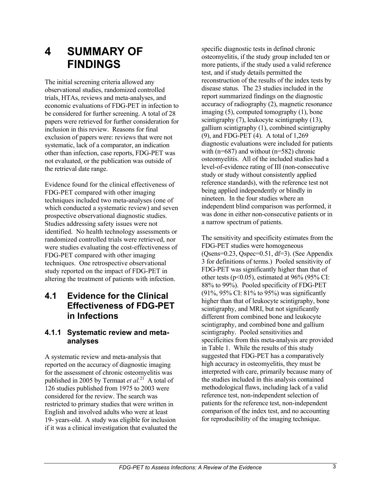## **4 SUMMARY OF FINDINGS**

The initial screening criteria allowed any observational studies, randomized controlled trials, HTAs, reviews and meta-analyses, and economic evaluations of FDG-PET in infection to be considered for further screening. A total of 28 papers were retrieved for further consideration for inclusion in this review. Reasons for final exclusion of papers were: reviews that were not systematic, lack of a comparator, an indication other than infection, case reports, FDG-PET was not evaluated, or the publication was outside of the retrieval date range.

Evidence found for the clinical effectiveness of FDG-PET compared with other imaging techniques included two meta-analyses (one of which conducted a systematic review) and seven prospective observational diagnostic studies. Studies addressing safety issues were not identified. No health technology assessments or randomized controlled trials were retrieved, nor were studies evaluating the cost-effectiveness of FDG-PET compared with other imaging techniques. One retrospective observational study reported on the impact of FDG-PET in altering the treatment of patients with infection.

### **4.1 Evidence for the Clinical Effectiveness of FDG-PET in Infections**

### **4.1.1 Systematic review and metaanalyses**

A systematic review and meta-analysis that reported on the accuracy of diagnostic imaging for the assessment of chronic osteomyelitis was published in 2005 by Termaat *et al.*<sup>21</sup> A total of 126 studies published from 1975 to 2003 were considered for the review. The search was restricted to primary studies that were written in English and involved adults who were at least 19- years-old. A study was eligible for inclusion if it was a clinical investigation that evaluated the

specific diagnostic tests in defined chronic osteomyelitis, if the study group included ten or more patients, if the study used a valid reference test, and if study details permitted the reconstruction of the results of the index tests by disease status. The 23 studies included in the report summarized findings on the diagnostic accuracy of radiography (2), magnetic resonance imaging (5), computed tomography (1), bone scintigraphy (7), leukocyte scintigraphy (13), gallium scintigraphy (1), combined scintigraphy (9), and FDG-PET (4). A total of 1,269 diagnostic evaluations were included for patients with  $(n=687)$  and without  $(n=582)$  chronic osteomyelitis. All of the included studies had a level-of-evidence rating of III (non-consecutive study or study without consistently applied reference standards), with the reference test not being applied independently or blindly in nineteen. In the four studies where an independent blind comparison was performed, it was done in either non-consecutive patients or in a narrow spectrum of patients.

The sensitivity and specificity estimates from the FDG-PET studies were homogeneous (Qsens=0.23, Qspec=0.51, df=3). (See Appendix 3 for definitions of terms.) Pooled sensitivity of FDG-PET was significantly higher than that of other tests ( $p<0.05$ ), estimated at 96% (95% CI: 88% to 99%). Pooled specificity of FDG-PET (91%, 95% CI: 81% to 95%) was significantly higher than that of leukocyte scintigraphy, bone scintigraphy, and MRI, but not significantly different from combined bone and leukocyte scintigraphy, and combined bone and gallium scintigraphy. Pooled sensitivities and specificities from this meta-analysis are provided in Table 1. While the results of this study suggested that FDG-PET has a comparatively high accuracy in osteomyelitis, they must be interpreted with care, primarily because many of the studies included in this analysis contained methodological flaws, including lack of a valid reference test, non-independent selection of patients for the reference test, non-independent comparison of the index test, and no accounting for reproducibility of the imaging technique.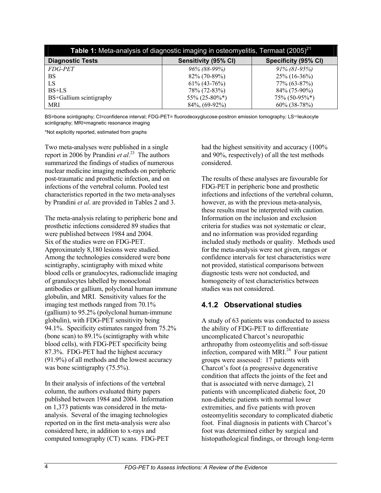| Table 1: Meta-analysis of diagnostic imaging in osteomyelitis, Termaat (2005) <sup>21</sup> |                      |                      |  |  |  |  |
|---------------------------------------------------------------------------------------------|----------------------|----------------------|--|--|--|--|
| <b>Diagnostic Tests</b>                                                                     | Sensitivity (95% CI) | Specificity (95% CI) |  |  |  |  |
| <i>FDG-PET</i>                                                                              | 96% (88-99%)         | $91\% (81-95\%)$     |  |  |  |  |
| BS                                                                                          | 82% (70-89%)         | $25\%$ (16-36%)      |  |  |  |  |
| LS                                                                                          | $61\% (43-76\%)$     | 77% (63-87%)         |  |  |  |  |
| $BS+LS$                                                                                     | 78% (72-83%)         | $84\%$ (75-90%)      |  |  |  |  |
| BS+Gallium scintigraphy                                                                     | 55% (25-80%*)        | $75\% (50-95\%*)$    |  |  |  |  |
| MRI                                                                                         | $84\%, (69-92\%)$    | $60\%$ (38-78%)      |  |  |  |  |

BS=bone scintigraphy; CI=confidence interval; FDG-PET= fluorodeoxyglucose-positron emission tomography; LS=leukocyte scintigraphy; MRI=magnetic resonance imaging

\*Not explicitly reported, estimated from graphs

Two meta-analyses were published in a single report in 2006 by Prandini *et al*. 23 The authors summarized the findings of studies of numerous nuclear medicine imaging methods on peripheric post-traumatic and prosthetic infection, and on infections of the vertebral column. Pooled test characteristics reported in the two meta-analyses by Prandini *et al*. are provided in Tables 2 and 3.

The meta-analysis relating to peripheric bone and prosthetic infections considered 89 studies that were published between 1984 and 2004. Six of the studies were on FDG-PET. Approximately 8,180 lesions were studied. Among the technologies considered were bone scintigraphy, scintigraphy with mixed white blood cells or granulocytes, radionuclide imaging of granulocytes labelled by monoclonal antibodies or gallium, polyclonal human immune globulin, and MRI. Sensitivity values for the imaging test methods ranged from 70.1% (gallium) to 95.2% (polyclonal human-immune globulin), with FDG-PET sensitivity being 94.1%. Specificity estimates ranged from 75.2% (bone scan) to 89.1% (scintigraphy with white blood cells), with FDG-PET specificity being 87.3%. FDG-PET had the highest accuracy (91.9%) of all methods and the lowest accuracy was bone scintigraphy (75.5%).

In their analysis of infections of the vertebral column, the authors evaluated thirty papers published between 1984 and 2004. Information on 1,373 patients was considered in the metaanalysis. Several of the imaging technologies reported on in the first meta-analysis were also considered here, in addition to x-rays and computed tomography (CT) scans. FDG-PET

had the highest sensitivity and accuracy (100% and 90%, respectively) of all the test methods considered.

The results of these analyses are favourable for FDG-PET in peripheric bone and prosthetic infections and infections of the vertebral column, however, as with the previous meta-analysis, these results must be interpreted with caution. Information on the inclusion and exclusion criteria for studies was not systematic or clear, and no information was provided regarding included study methods or quality. Methods used for the meta-analysis were not given, ranges or confidence intervals for test characteristics were not provided, statistical comparisons between diagnostic tests were not conducted, and homogeneity of test characteristics between studies was not considered.

### **4.1.2 Observational studies**

A study of 63 patients was conducted to assess the ability of FDG-PET to differentiate uncomplicated Charcot's neuropathic arthropathy from osteomyelitis and soft-tissue infection, compared with MRI $^{24}$  Four patient groups were assessed: 17 patients with Charcot's foot (a progressive degenerative condition that affects the joints of the feet and that is associated with nerve damage), 21 patients with uncomplicated diabetic foot, 20 non-diabetic patients with normal lower extremities, and five patients with proven osteomyelitis secondary to complicated diabetic foot. Final diagnosis in patients with Charcot's foot was determined either by surgical and histopathological findings, or through long-term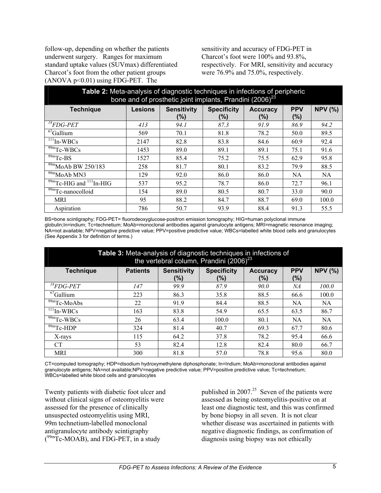follow-up, depending on whether the patients underwent surgery. Ranges for maximum standard uptake values (SUVmax) differentiated Charcot's foot from the other patient groups  $(ANOVA p<0.01)$  using FDG-PET. The

sensitivity and accuracy of FDG-PET in Charcot's foot were 100% and 93.8%, respectively. For MRI, sensitivity and accuracy were 76.9% and 75.0%, respectively.

| Table 2: Meta-analysis of diagnostic techniques in infections of peripheric<br>bone and of prosthetic joint implants, Prandini (2006) <sup>23</sup> |                |                           |                           |                        |                   |                |  |
|-----------------------------------------------------------------------------------------------------------------------------------------------------|----------------|---------------------------|---------------------------|------------------------|-------------------|----------------|--|
| <b>Technique</b>                                                                                                                                    | <b>Lesions</b> | <b>Sensitivity</b><br>(%) | <b>Specificity</b><br>(%) | <b>Accuracy</b><br>(%) | <b>PPV</b><br>(%) | <b>NPV (%)</b> |  |
| ${}^{18}$ FDG-PET                                                                                                                                   | 413            | 94.1                      | 87.3                      | 91.9                   | 86.9              | 94.2           |  |
| $67$ Gallium                                                                                                                                        | 569            | 70.1                      | 81.8                      | 78.2                   | 50.0              | 89.5           |  |
| $111$ In-WBCs                                                                                                                                       | 2147           | 82.8                      | 83.8                      | 84.6                   | 60.9              | 92.4           |  |
| $\overline{99}$ mTc-WBCs                                                                                                                            | 1453           | 89.0                      | 89.1                      | 89.1                   | 75.1              | 91.6           |  |
| $\overline{99m}$ Tc-BS                                                                                                                              | 1527           | 85.4                      | 75.2                      | 75.5                   | 62.9              | 95.8           |  |
| $\frac{99}{99}$ MoAb BW 250/183                                                                                                                     | 258            | 81.7                      | 80.1                      | 83.2                   | 79.9              | 88.5           |  |
| $\frac{99m}{99m}$ MoAb MN3                                                                                                                          | 129            | 92.0                      | 86.0                      | 86.0                   | NA                | <b>NA</b>      |  |
| $\frac{99m}{Fc-HIG}$ and $^{111}$ In-HIG                                                                                                            | 537            | 95.2                      | 78.7                      | 86.0                   | 72.7              | 96.1           |  |
| $\frac{99m}{2}$ Tc-nanocolloid                                                                                                                      | 154            | 89.0                      | 80.5                      | 80.7                   | 33.0              | 90.0           |  |
| <b>MRI</b>                                                                                                                                          | 95             | 88.2                      | 84.7                      | 88.7                   | 69.0              | 100.0          |  |
| Aspiration                                                                                                                                          | 786            | 50.7                      | 93.9                      | 88.4                   | 91.3              | 55.5           |  |

BS=bone scintigraphy; FDG-PET= fluorodeoxyglucose-positron emission tomography; HIG=human polyclonal immune globulin;In=indium; Tc=technetium; MoAb=monoclonal antibodies against granulocyte antigens; MRI=magnetic resonance imaging; NA=not available; NPV=negative predictive value; PPV=positive predictive value; WBCs=labelled white blood cells and granulocytes (See Appendix 3 for definition of terms.)

| Table 3: Meta-analysis of diagnostic techniques in infections of<br>the vertebral column, Prandini (2006) <sup>23</sup> |                 |                           |                              |                        |                       |                |  |
|-------------------------------------------------------------------------------------------------------------------------|-----------------|---------------------------|------------------------------|------------------------|-----------------------|----------------|--|
| <b>Technique</b>                                                                                                        | <b>Patients</b> | <b>Sensitivity</b><br>(%) | <b>Specificity</b><br>$(\%)$ | <b>Accuracy</b><br>(%) | <b>PPV</b><br>$(\% )$ | <b>NPV (%)</b> |  |
| ${}^{18}$ FDG-PET                                                                                                       | 147             | 99.9                      | 87.9                         | <i>90.0</i>            | NА                    | 100.0          |  |
| $^{67}$ Gallium                                                                                                         | 223             | 86.3                      | 35.8                         | 88.5                   | 66.6                  | 100.0          |  |
| $\overline{99m}$ Tc-MoAbs                                                                                               | 22              | 91.9                      | 84.4                         | 88.5                   | NA                    | <b>NA</b>      |  |
| $\overline{1}$ <sup>11</sup> In-WBCs                                                                                    | 163             | 83.8                      | 54.9                         | 65.5                   | 63.5                  | 86.7           |  |
| $\frac{99m}{9}$ Tc-WBCs                                                                                                 | 26              | 63.4                      | 100.0                        | 80.1                   | NA                    | <b>NA</b>      |  |
| $\overline{99m}$ Tc-HDP                                                                                                 | 324             | 81.4                      | 40.7                         | 69.3                   | 67.7                  | 80.6           |  |
| X-rays                                                                                                                  | 115             | 64.2                      | 37.8                         | 78.2                   | 95.4                  | 66.6           |  |
| <b>CT</b>                                                                                                               | 53              | 82.4                      | 12.8                         | 82.4                   | 80.0                  | 66.7           |  |
| MRI                                                                                                                     | 300             | 81.8                      | 57.0                         | 78.8                   | 95.6                  | 80.0           |  |

CT=computed tomography; HDP=disodium hydroxymethylene diphosphonate; In=Indium; MoAb=monoclonal antibodies against granulocyte antigens; NA=not available;NPV=negative predictive value; PPV=positive predictive value; Tc=technetium; WBCs=labelled white blood cells and granulocytes

Twenty patients with diabetic foot ulcer and without clinical signs of osteomyelitis were assessed for the presence of clinically unsuspected osteomyelitis using MRI, 99m technetium-labelled monoclonal antigranulocyte antibody scintigraphy  $(^{99m}$ Tc-MOAB), and FDG-PET, in a study

published in  $2007<sup>25</sup>$  Seven of the patients were assessed as being osteomyelitis-positive on at least one diagnostic test, and this was confirmed by bone biopsy in all seven. It is not clear whether disease was ascertained in patients with negative diagnostic findings, as confirmation of diagnosis using biopsy was not ethically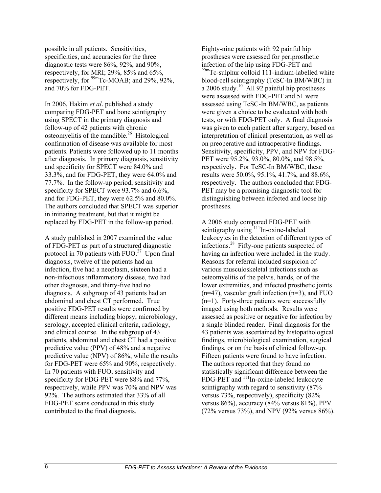possible in all patients. Sensitivities, specificities, and accuracies for the three diagnostic tests were 86%, 92%, and 90%, respectively, for MRI; 29%, 85% and 65%, respectively, for  $^{99m}$ Tc-MOAB; and 29%, 92%, and 70% for FDG-PET.

In 2006, Hakim *et al*. published a study comparing FDG-PET and bone scintigraphy using SPECT in the primary diagnosis and follow-up of 42 patients with chronic osteomyelitis of the mandible.<sup>26</sup> Histological confirmation of disease was available for most patients. Patients were followed up to 11 months after diagnosis. In primary diagnosis, sensitivity and specificity for SPECT were 84.0% and 33.3%, and for FDG-PET, they were 64.0% and 77.7%. In the follow-up period, sensitivity and specificity for SPECT were 93.7% and 6.6%, and for FDG-PET, they were 62.5% and 80.0%. The authors concluded that SPECT was superior in initiating treatment, but that it might be replaced by FDG-PET in the follow-up period.

A study published in 2007 examined the value of FDG-PET as part of a structured diagnostic protocol in 70 patients with  $FUO.<sup>27</sup>$  Upon final diagnosis, twelve of the patients had an infection, five had a neoplasm, sixteen had a non-infectious inflammatory disease, two had other diagnoses, and thirty-five had no diagnosis. A subgroup of 43 patients had an abdominal and chest CT performed. True positive FDG-PET results were confirmed by different means including biopsy, microbiology, serology, accepted clinical criteria, radiology, and clinical course. In the subgroup of 43 patients, abdominal and chest CT had a positive predictive value (PPV) of 48% and a negative predictive value (NPV) of 86%, while the results for FDG-PET were 65% and 90%, respectively. In 70 patients with FUO, sensitivity and specificity for FDG-PET were 88% and 77%, respectively, while PPV was 70% and NPV was 92%. The authors estimated that 33% of all FDG-PET scans conducted in this study contributed to the final diagnosis.

Eighty-nine patients with 92 painful hip prostheses were assessed for periprosthetic infection of the hip using FDG-PET and  $99m$ Tc-sulphur colloid 111-indium-labelled white blood-cell scintigraphy (TcSC-In BM/WBC) in a 2006 study.<sup>10</sup> All 92 painful hip prostheses were assessed with FDG-PET and 51 were assessed using TcSC-In BM/WBC, as patients were given a choice to be evaluated with both tests, or with FDG-PET only. A final diagnosis was given to each patient after surgery, based on interpretation of clinical presentation, as well as on preoperative and intraoperative findings. Sensitivity, specificity, PPV, and NPV for FDG-PET were 95.2%, 93.0%, 80.0%, and 98.5%, respectively. For TcSC-In BM/WBC, these results were 50.0%, 95.1%, 41.7%, and 88.6%, respectively. The authors concluded that FDG-PET may be a promising diagnostic tool for distinguishing between infected and loose hip prostheses.

A 2006 study compared FDG-PET with scintigraphy using <sup>111</sup>In-oxine-labeled leukocytes in the detection of different types of infections.28 Fifty-one patients suspected of having an infection were included in the study. Reasons for referral included suspicion of various musculoskeletal infections such as osteomyelitis of the pelvis, hands, or of the lower extremities, and infected prosthetic joints  $(n=47)$ , vascular graft infection  $(n=3)$ , and FUO  $(n=1)$ . Forty-three patients were successfully imaged using both methods. Results were assessed as positive or negative for infection by a single blinded reader. Final diagnosis for the 43 patients was ascertained by histopathological findings, microbiological examination, surgical findings, or on the basis of clinical follow-up. Fifteen patients were found to have infection. The authors reported that they found no statistically significant difference between the FDG-PET and <sup>111</sup>In-oxine-labeled leukocyte scintigraphy with regard to sensitivity (87% versus 73%, respectively), specificity (82% versus 86%), accuracy (84% versus 81%), PPV (72% versus 73%), and NPV (92% versus 86%).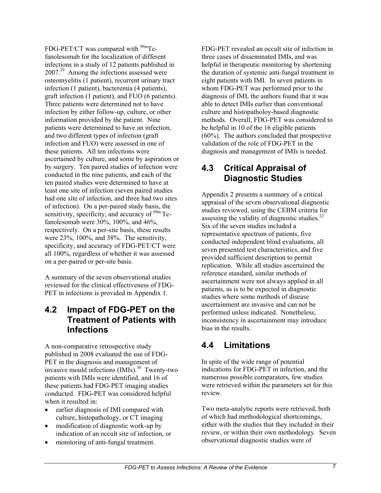FDG-PET/CT was compared with  $99m$ Tcfanolesomab for the localization of different infections in a study of 12 patients published in 2007.<sup>29</sup> Among the infections assessed were osteomyelitis (1 patient), recurrent urinary tract infection (1 patient), bacteremia (4 patients), graft infection (1 patient), and FUO (6 patients). Three patients were determined not to have infection by either follow-up, culture, or other information provided by the patient. Nine patients were determined to have an infection, and two different types of infection (graft infection and FUO) were assessed in one of these patients. All ten infections were ascertained by culture, and some by aspiration or by surgery. Ten paired studies of infection were conducted in the nine patients, and each of the ten paired studies were determined to have at least one site of infection (seven paired studies had one site of infection, and three had two sites of infection). On a per-paired study basis, the sensitivity, specificity, and accuracy of <sup>99m</sup> Tcfanolesomab were 30%, 100%, and 46%, respectively. On a per-site basis, these results were 23%, 100%, and 38%. The sensitivity, specificity, and accuracy of FDG-PET/CT were all 100%, regardless of whether it was assessed on a per-paired or per-site basis.

A summary of the seven observational studies reviewed for the clinical effectiveness of FDG-PET in infections is provided in Appendix 1.

### **4.2 Impact of FDG-PET on the Treatment of Patients with Infections**

A non-comparative retrospective study published in 2008 evaluated the use of FDG-PET in the diagnosis and management of invasive mould infections  $(MIs)<sup>30</sup>$  Twenty-two patients with IMIs were identified, and 16 of these patients had FDG-PET imaging studies conducted. FDG-PET was considered helpful when it resulted in:

- earlier diagnosis of IMI compared with culture, histopathology, or CT imaging
- modification of diagnostic work-up by indication of an occult site of infection, or
- monitoring of anti-fungal treatment.

FDG-PET revealed an occult site of infection in three cases of disseminated IMIs, and was helpful in therapeutic monitoring by shortening the duration of systemic anti-fungal treatment in eight patients with IMI. In seven patients in whom FDG-PET was performed prior to the diagnosis of IMI, the authors found that it was able to detect IMIs earlier than conventional culture and histopatholoy-based diagnostic methods. Overall, FDG-PET was considered to be helpful in 10 of the 16 eligible patients (60%). The authors concluded that prospective validation of the role of FDG-PET in the diagnosis and management of IMIs is needed.

### **4.3 Critical Appraisal of Diagnostic Studies**

Appendix 2 presents a summary of a critical appraisal of the seven observational diagnostic studies reviewed, using the CEBM criteria for assessing the validity of diagnostic studies.<sup>22</sup> Six of the seven studies included a representative spectrum of patients, five conducted independent blind evaluations, all seven presented test characteristics, and five provided sufficient description to permit replication. While all studies ascertained the reference standard, similar methods of ascertainment were not always applied in all patients, as is to be expected in diagnostic studies where some methods of disease ascertainment are invasive and can not be performed unless indicated. Nonetheless, inconsistency in ascertainment may introduce bias in the results.

### **4.4 Limitations**

In spite of the wide range of potential indications for FDG-PET in infection, and the numerous possible comparators, few studies were retrieved within the parameters set for this review.

Two meta-analytic reports were retrieved, both of which had methodological shortcomings, either with the studies that they included in their review, or within their own methodology. Seven observational diagnostic studies were of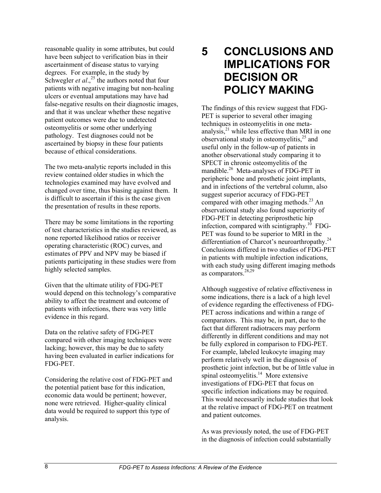reasonable quality in some attributes, but could have been subject to verification bias in their ascertainment of disease status to varying degrees. For example, in the study by Schwegler *et al.*<sup>25</sup> the authors noted that four patients with negative imaging but non-healing ulcers or eventual amputations may have had false-negative results on their diagnostic images, and that it was unclear whether these negative patient outcomes were due to undetected osteomyelitis or some other underlying pathology. Test diagnoses could not be ascertained by biopsy in these four patients because of ethical considerations.

The two meta-analytic reports included in this review contained older studies in which the technologies examined may have evolved and changed over time, thus biasing against them. It is difficult to ascertain if this is the case given the presentation of results in these reports.

There may be some limitations in the reporting of test characteristics in the studies reviewed, as none reported likelihood ratios or receiver operating characteristic (ROC) curves, and estimates of PPV and NPV may be biased if patients participating in these studies were from highly selected samples.

Given that the ultimate utility of FDG-PET would depend on this technology's comparative ability to affect the treatment and outcome of patients with infections, there was very little evidence in this regard.

Data on the relative safety of FDG-PET compared with other imaging techniques were lacking; however, this may be due to safety having been evaluated in earlier indications for FDG-PET.

Considering the relative cost of FDG-PET and the potential patient base for this indication, economic data would be pertinent; however, none were retrieved. Higher-quality clinical data would be required to support this type of analysis.

## **5 CONCLUSIONS AND IMPLICATIONS FOR DECISION OR POLICY MAKING**

The findings of this review suggest that FDG-PET is superior to several other imaging techniques in osteomyelitis in one metaanalysis, $^{21}$  while less effective than MRI in one observational study in osteomyelitis, $25$  and useful only in the follow-up of patients in another observational study comparing it to SPECT in chronic osteomyelitis of the mandible.<sup>26</sup> Meta-analyses of FDG-PET in peripheric bone and prosthetic joint implants, and in infections of the vertebral column, also suggest superior accuracy of FDG-PET compared with other imaging methods. $^{23}$  An observational study also found superiority of FDG-PET in detecting periprosthetic hip infection, compared with scintigraphy.<sup>10</sup> FDG-PET was found to be superior to MRI in the differentiation of Charcot's neuroarthropathy.<sup>24</sup> Conclusions differed in two studies of FDG-PET in patients with multiple infection indications, with each study using different imaging methods as comparators.28,29

Although suggestive of relative effectiveness in some indications, there is a lack of a high level of evidence regarding the effectiveness of FDG-PET across indications and within a range of comparators. This may be, in part, due to the fact that different radiotracers may perform differently in different conditions and may not be fully explored in comparison to FDG-PET. For example, labeled leukocyte imaging may perform relatively well in the diagnosis of prosthetic joint infection, but be of little value in spinal osteomyelitis.<sup>14</sup> More extensive investigations of FDG-PET that focus on specific infection indications may be required. This would necessarily include studies that look at the relative impact of FDG-PET on treatment and patient outcomes.

As was previously noted, the use of FDG-PET in the diagnosis of infection could substantially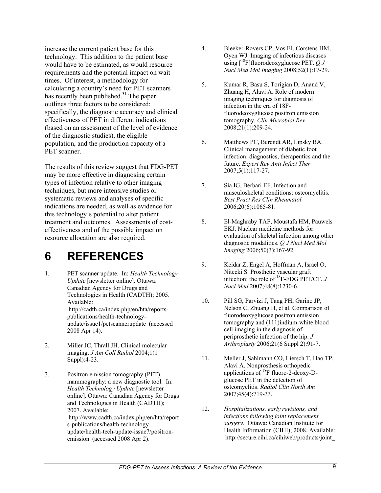increase the current patient base for this technology. This addition to the patient base would have to be estimated, as would resource requirements and the potential impact on wait times. Of interest, a methodology for calculating a country's need for PET scanners has recently been published.<sup>31</sup> The paper outlines three factors to be considered; specifically, the diagnostic accuracy and clinical effectiveness of PET in different indications (based on an assessment of the level of evidence of the diagnostic studies), the eligible population, and the production capacity of a PET scanner.

The results of this review suggest that FDG-PET may be more effective in diagnosing certain types of infection relative to other imaging techniques, but more intensive studies or systematic reviews and analyses of specific indications are needed, as well as evidence for this technology's potential to alter patient treatment and outcomes. Assessments of costeffectiveness and of the possible impact on resource allocation are also required.

## **6 REFERENCES**

- 1. PET scanner update. In: *Health Technology Update* [newsletter online]. Ottawa: Canadian Agency for Drugs and Technologies in Health (CADTH); 2005. Available: http://cadth.ca/index.php/en/hta/reportspublications/health-technologyupdate/issue1/petscannerupdate (accessed 2008 Apr 14).
- 2. Miller JC, Thrall JH. Clinical molecular imaging. *J Am Coll Radiol* 2004;1(1 Suppl):4-23.
- 3. Positron emission tomography (PET) mammography: a new diagnostic tool. In: *Health Technology Update* [newsletter online]. Ottawa: Canadian Agency for Drugs and Technologies in Health (CADTH); 2007. Available: http://www.cadth.ca/index.php/en/hta/report s-publications/health-technologyupdate/health-tech-update-issue7/positronemission (accessed 2008 Apr 2).
- 4. Bleeker-Rovers CP, Vos FJ, Corstens HM, Oyen WJ. Imaging of infectious diseases using [18F]fluorodeoxyglucose PET. *Q J Nucl Med Mol Imaging* 2008;52(1):17-29.
- 5. Kumar R, Basu S, Torigian D, Anand V, Zhuang H, Alavi A. Role of modern imaging techniques for diagnosis of infection in the era of 18Ffluorodeoxyglucose positron emission tomography. *Clin Microbiol Rev* 2008;21(1):209-24.
- 6. Matthews PC, Berendt AR, Lipsky BA. Clinical management of diabetic foot infection: diagnostics, therapeutics and the future. *Expert Rev Anti Infect Ther* 2007;5(1):117-27.
- 7. Sia IG, Berbari EF. Infection and musculoskeletal conditions: osteomyelitis. *Best Pract Res Clin Rheumatol* 2006;20(6):1065-81.
- 8. El-Maghraby TAF, Moustafa HM, Pauwels EKJ. Nuclear medicine methods for evaluation of skeletal infection among other diagnostic modalities. *Q J Nucl Med Mol Imaging* 2006;50(3):167-92.
- 9. Keidar Z, Engel A, Hoffman A, Israel O, Nitecki S. Prosthetic vascular graft infection: the role of 18F-FDG PET/CT. *J Nucl Med* 2007;48(8):1230-6.
- 10. Pill SG, Parvizi J, Tang PH, Garino JP, Nelson C, Zhuang H, et al. Comparison of fluorodeoxyglucose positron emission tomography and (111)indium-white blood cell imaging in the diagnosis of periprosthetic infection of the hip. *J Arthroplasty* 2006;21(6 Suppl 2):91-7.
- 11. Meller J, Sahlmann CO, Liersch T, Hao TP, Alavi A. Nonprosthesis orthopedic applications of  $^{18}$ F fluoro-2-deoxy-Dglucose PET in the detection of osteomyelitis. *Radiol Clin North Am* 2007;45(4):719-33.
- 12. *Hospitalizations, early revisions, and infections following joint replacement surgery*. Ottawa: Canadian Institute for Health Information (CIHI); 2008. Available: http://secure.cihi.ca/cihiweb/products/joint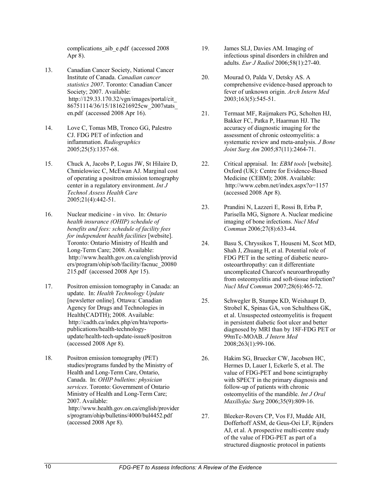complications aib e.pdf (accessed 2008 Apr 8).

- 13. Canadian Cancer Society, National Cancer Institute of Canada. *Canadian cancer statistics 2007*. Toronto: Canadian Cancer Society; 2007. Available: http://129.33.170.32/vgn/images/portal/cit\_ 86751114/36/15/1816216925cw\_2007stats\_ en.pdf (accessed 2008 Apr 16).
- 14. Love C, Tomas MB, Tronco GG, Palestro CJ. FDG PET of infection and inflammation. *Radiographics* 2005;25(5):1357-68.
- 15. Chuck A, Jacobs P, Logus JW, St Hilaire D, Chmielowiec C, McEwan AJ. Marginal cost of operating a positron emission tomography center in a regulatory environment. *Int J Technol Assess Health Care* 2005;21(4):442-51.
- 16. Nuclear medicine in vivo. In: *Ontario health insurance (OHIP) schedule of benefits and fees: schedule of facility fees for independent health facilities* [website]. Toronto: Ontario Ministry of Health and Long-Term Care; 2008. Available: http://www.health.gov.on.ca/english/provid ers/program/ohip/sob/facility/facnuc\_20080 215.pdf (accessed 2008 Apr 15).
- 17. Positron emission tomography in Canada: an update. In: *Health Technology Update* [newsletter online]. Ottawa: Canadian Agency for Drugs and Technologies in Health(CADTH); 2008. Available: http://cadth.ca/index.php/en/hta/reportspublications/health-technologyupdate/health-tech-update-issue8/positron (accessed 2008 Apr 8).
- 18. Positron emission tomography (PET) studies/programs funded by the Ministry of Health and Long-Term Care, Ontario, Canada. In: *OHIP bulletins: physician services*. Toronto: Government of Ontario Ministry of Health and Long-Term Care; 2007. Available: http://www.health.gov.on.ca/english/provider s/program/ohip/bulletins/4000/bul4452.pdf (accessed 2008 Apr 8).
- 19. James SLJ, Davies AM. Imaging of infectious spinal disorders in children and adults. *Eur J Radiol* 2006;58(1):27-40.
- 20. Mourad O, Palda V, Detsky AS. A comprehensive evidence-based approach to fever of unknown origin. *Arch Intern Med* 2003;163(5):545-51.
- 21. Termaat MF, Raijmakers PG, Scholten HJ, Bakker FC, Patka P, Haarman HJ. The accuracy of diagnostic imaging for the assessment of chronic osteomyelitis: a systematic review and meta-analysis. *J Bone Joint Surg Am* 2005;87(11):2464-71.
- 22. Critical appraisal. In: *EBM tools* [website]. Oxford (UK): Centre for Evidence-Based Medicine (CEBM); 2008. Available: http://www.cebm.net/index.aspx?o=1157 (accessed 2008 Apr 8).
- 23. Prandini N, Lazzeri E, Rossi B, Erba P, Parisella MG, Signore A. Nuclear medicine imaging of bone infections. *Nucl Med Commun* 2006;27(8):633-44.
- 24. Basu S, Chryssikos T, Houseni M, Scot MD, Shah J, Zhuang H, et al. Potential role of FDG PET in the setting of diabetic neuroosteoarthropathy: can it differentiate uncomplicated Charcot's neuroarthropathy from osteomyelitis and soft-tissue infection? *Nucl Med Commun* 2007;28(6):465-72.
- 25. Schwegler B, Stumpe KD, Weishaupt D, Strobel K, Spinas GA, von Schulthess GK, et al. Unsuspected osteomyelitis is frequent in persistent diabetic foot ulcer and better diagnosed by MRI than by 18F-FDG PET or 99mTc-MOAB. *J Intern Med* 2008;263(1):99-106.
- 26. Hakim SG, Bruecker CW, Jacobsen HC, Hermes D, Lauer I, Eckerle S, et al. The value of FDG-PET and bone scintigraphy with SPECT in the primary diagnosis and follow-up of patients with chronic osteomyelitis of the mandible. *Int J Oral Maxillofac Surg* 2006;35(9):809-16.
- 27. Bleeker-Rovers CP, Vos FJ, Mudde AH, Dofferhoff ASM, de Geus-Oei LF, Rijnders AJ, et al. A prospective multi-centre study of the value of FDG-PET as part of a structured diagnostic protocol in patients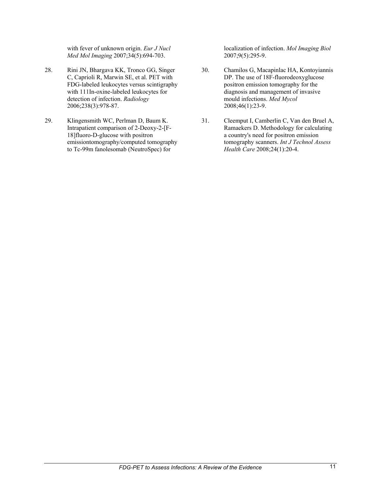with fever of unknown origin. *Eur J Nucl Med Mol Imaging* 2007;34(5):694-703.

- 28. Rini JN, Bhargava KK, Tronco GG, Singer C, Caprioli R, Marwin SE, et al. PET with FDG-labeled leukocytes versus scintigraphy with 111In-oxine-labeled leukocytes for detection of infection. *Radiology* 2006;238(3):978-87.
- 29. Klingensmith WC, Perlman D, Baum K. Intrapatient comparison of 2-Deoxy-2-[F-18]fluoro-D-glucose with positron emissiontomography/computed tomography to Tc-99m fanolesomab (NeutroSpec) for

localization of infection. *Mol Imaging Biol* 2007;9(5):295-9.

- 30. Chamilos G, Macapinlac HA, Kontoyiannis DP. The use of 18F-fluorodeoxyglucose positron emission tomography for the diagnosis and management of invasive mould infections. *Med Mycol* 2008;46(1):23-9.
- 31. Cleemput I, Camberlin C, Van den Bruel A, Ramaekers D. Methodology for calculating a country's need for positron emission tomography scanners. *Int J Technol Assess Health Care* 2008;24(1):20-4.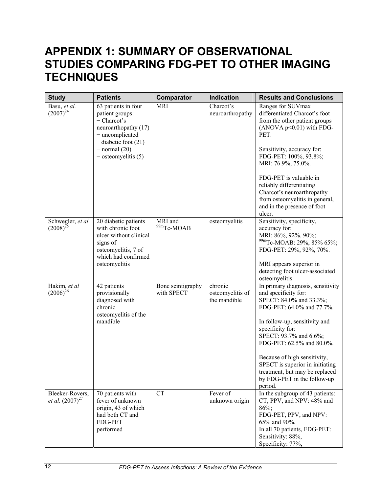## **APPENDIX 1: SUMMARY OF OBSERVATIONAL STUDIES COMPARING FDG-PET TO OTHER IMAGING TECHNIQUES**

| <b>Study</b>                            | <b>Patients</b>                                                                                                                                                        | Comparator                      | <b>Indication</b>                           | <b>Results and Conclusions</b>                                                                                                                                                                                                                                                                                                                                               |
|-----------------------------------------|------------------------------------------------------------------------------------------------------------------------------------------------------------------------|---------------------------------|---------------------------------------------|------------------------------------------------------------------------------------------------------------------------------------------------------------------------------------------------------------------------------------------------------------------------------------------------------------------------------------------------------------------------------|
| Basu, et al.<br>$(2007)^{24}$           | 63 patients in four<br>patient groups:<br>$-$ Charcot's<br>neuroarthopathy (17)<br>- uncomplicated<br>diabetic foot $(21)$<br>$-$ normal (20)<br>$-$ osteomyelitis (5) | <b>MRI</b>                      | Charcot's<br>neuroarthropathy               | Ranges for SUVmax<br>differentiated Charcot's foot<br>from the other patient groups<br>$(ANOVA p<0.01)$ with FDG-<br>PET.<br>Sensitivity, accuracy for:<br>FDG-PET: 100%, 93.8%;<br>MRI: 76.9%, 75.0%.<br>FDG-PET is valuable in<br>reliably differentiating<br>Charcot's neuroarthropathy<br>from osteomyelitis in general,<br>and in the presence of foot                  |
| Schwegler, et al<br>$(2008)^{25}$       | 20 diabetic patients<br>with chronic foot<br>ulcer without clinical<br>signs of<br>osteomyelitis, 7 of<br>which had confirmed<br>osteomyelitis                         | MRI and<br>99mTc-MOAB           | osteomyelitis                               | ulcer.<br>Sensitivity, specificity,<br>accuracy for:<br>MRI: 86%, 92%, 90%;<br><sup>99m</sup> Tc-MOAB: 29%, 85% 65%;<br>FDG-PET: 29%, 92%, 70%.<br>MRI appears superior in<br>detecting foot ulcer-associated<br>osteomyelitis.                                                                                                                                              |
| Hakim, et al<br>$(2006)^{26}$           | 42 patients<br>provisionally<br>diagnosed with<br>chronic<br>osteomyelitis of the<br>mandible                                                                          | Bone scintigraphy<br>with SPECT | chronic<br>osteomyelitis of<br>the mandible | In primary diagnosis, sensitivity<br>and specificity for:<br>SPECT: 84.0% and 33.3%;<br>FDG-PET: 64.0% and 77.7%.<br>In follow-up, sensitivity and<br>specificity for:<br>SPECT: 93.7% and 6.6%;<br>FDG-PET: 62.5% and 80.0%.<br>Because of high sensitivity,<br>SPECT is superior in initiating<br>treatment, but may be replaced<br>by FDG-PET in the follow-up<br>period. |
| Bleeker-Rovers,<br>et al. $(2007)^{27}$ | 70 patients with<br>fever of unknown<br>origin, 43 of which<br>had both CT and<br><b>FDG-PET</b><br>performed                                                          | <b>CT</b>                       | Fever of<br>unknown origin                  | In the subgroup of 43 patients:<br>CT, PPV, and NPV: 48% and<br>$86\%$ ;<br>FDG-PET, PPV, and NPV:<br>65% and 90%.<br>In all 70 patients, FDG-PET:<br>Sensitivity: 88%,<br>Specificity: 77%,                                                                                                                                                                                 |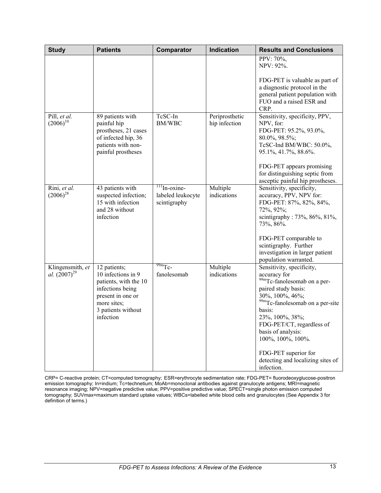| <b>Study</b>                          | <b>Patients</b>                                                                                                                                        | Comparator                                           | <b>Indication</b>               | <b>Results and Conclusions</b>                                                                                                                                                                                                                                                                                                                    |
|---------------------------------------|--------------------------------------------------------------------------------------------------------------------------------------------------------|------------------------------------------------------|---------------------------------|---------------------------------------------------------------------------------------------------------------------------------------------------------------------------------------------------------------------------------------------------------------------------------------------------------------------------------------------------|
|                                       |                                                                                                                                                        |                                                      |                                 | PPV: $70\%$ .<br>NPV: 92%.                                                                                                                                                                                                                                                                                                                        |
|                                       |                                                                                                                                                        |                                                      |                                 | FDG-PET is valuable as part of<br>a diagnostic protocol in the<br>general patient population with<br>FUO and a raised ESR and<br>CRP.                                                                                                                                                                                                             |
| Pill, et al.<br>$(2006)^{10}$         | 89 patients with<br>painful hip<br>prostheses, 21 cases<br>of infected hip, 36<br>patients with non-<br>painful prostheses                             | TcSC-In<br>BM/WBC                                    | Periprosthetic<br>hip infection | Sensitivity, specificity, PPV,<br>NPV, for:<br>FDG-PET: 95.2%, 93.0%,<br>80.0%, 98.5%;<br>TcSC-Ind BM/WBC: 50.0%,<br>95.1%, 41.7%, 88.6%.<br>FDG-PET appears promising<br>for distinguishing septic from<br>asceptic painful hip prostheses.                                                                                                      |
| Rini, et al.<br>$(2006)^{28}$         | 43 patients with<br>suspected infection;<br>15 with infection<br>and 28 without<br>infection                                                           | $111$ In-oxine-<br>labeled leukocyte<br>scintigraphy | Multiple<br>indications         | Sensitivity, specificity,<br>accuracy, PPV, NPV for:<br>FDG-PET: 87%, 82%, 84%,<br>72%, 92%;<br>scintigraphy: 73%, 86%, 81%,<br>73%, 86%.<br>FDG-PET comparable to<br>scintigraphy. Further<br>investigation in larger patient<br>population warranted.                                                                                           |
| Klingensmith, et<br>al. $(2007)^{29}$ | 12 patients;<br>10 infections in 9<br>patients, with the 10<br>infections being<br>present in one or<br>more sites;<br>3 patients without<br>infection | $^{99m}$ Tc-<br>fanolesomab                          | Multiple<br>indications         | Sensitivity, specificity,<br>accuracy for<br>99mTc-fanolesomab on a per-<br>paired study basis:<br>30%, 100%, 46%;<br><sup>99m</sup> Tc-fanolesomab on a per-site<br>basis:<br>23%, 100%, 38%;<br>FDG-PET/CT, regardless of<br>basis of analysis:<br>100%, 100%, 100%.<br>FDG-PET superior for<br>detecting and localizing sites of<br>infection. |

CRP= C-reactive protein; CT=computed tomography; ESR=erythrocyte sedimentation rate; FDG-PET= fluorodeoxyglucose-positron emission tomography; In=indium; Tc=technetium; MoAb=monoclonal antibodies against granulocyte antigens; MRI=magnetic resonance imaging; NPV=negative predictive value; PPV=positive predictive value; SPECT=single photon emission computed tomography; SUVmax=maximum standard uptake values; WBCs=labelled white blood cells and granulocytes (See Appendix 3 for definition of terms.)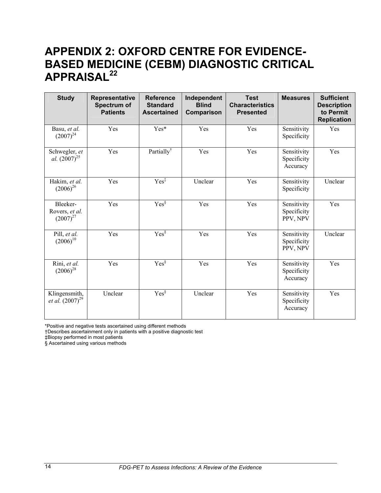## **APPENDIX 2: OXFORD CENTRE FOR EVIDENCE-BASED MEDICINE (CEBM) DIAGNOSTIC CRITICAL APPRAISAL22**

| <b>Study</b>                                 | Representative<br>Spectrum of<br><b>Patients</b> | <b>Reference</b><br><b>Standard</b><br><b>Ascertained</b> | Independent<br><b>Blind</b><br>Comparison | <b>Test</b><br><b>Characteristics</b><br><b>Presented</b> | <b>Measures</b>                        | <b>Sufficient</b><br><b>Description</b><br>to Permit<br><b>Replication</b> |
|----------------------------------------------|--------------------------------------------------|-----------------------------------------------------------|-------------------------------------------|-----------------------------------------------------------|----------------------------------------|----------------------------------------------------------------------------|
| Basu, et al.<br>$(2007)^{24}$                | Yes                                              | Yes*                                                      | Yes                                       | Yes                                                       | Sensitivity<br>Specificity             | Yes                                                                        |
| Schwegler, et<br>al. $(2007)^{25}$           | Yes                                              | Partially <sup>†</sup>                                    | Yes                                       | Yes                                                       | Sensitivity<br>Specificity<br>Accuracy | Yes                                                                        |
| Hakim, et al.<br>$(2006)^{26}$               | Yes                                              | $Yes^{\ddagger}$                                          | Unclear                                   | Yes                                                       | Sensitivity<br>Specificity             | Unclear                                                                    |
| Bleeker-<br>Rovers, et al.<br>$(2007)^{27}$  | Yes                                              | $Yes^{\S}$                                                | Yes                                       | Yes                                                       | Sensitivity<br>Specificity<br>PPV, NPV | Yes                                                                        |
| Pill, et al.<br>$(2006)^{10}$                | Yes                                              | $Yes^{\overline{\$}}$                                     | Yes                                       | Yes                                                       | Sensitivity<br>Specificity<br>PPV, NPV | Unclear                                                                    |
| Rini, et al.<br>$(2006)^{28}$                | Yes                                              | $Yes^{\S}$                                                | Yes                                       | Yes                                                       | Sensitivity<br>Specificity<br>Accuracy | Yes                                                                        |
| Klingensmith,<br><i>et al.</i> $(2007)^{29}$ | Unclear                                          | $Yes^{\S}$                                                | Unclear                                   | Yes                                                       | Sensitivity<br>Specificity<br>Accuracy | Yes                                                                        |

\*Positive and negative tests ascertained using different methods

†Describes ascertainment only in patients with a positive diagnostic test

‡Biopsy performed in most patients

§ Ascertained using various methods